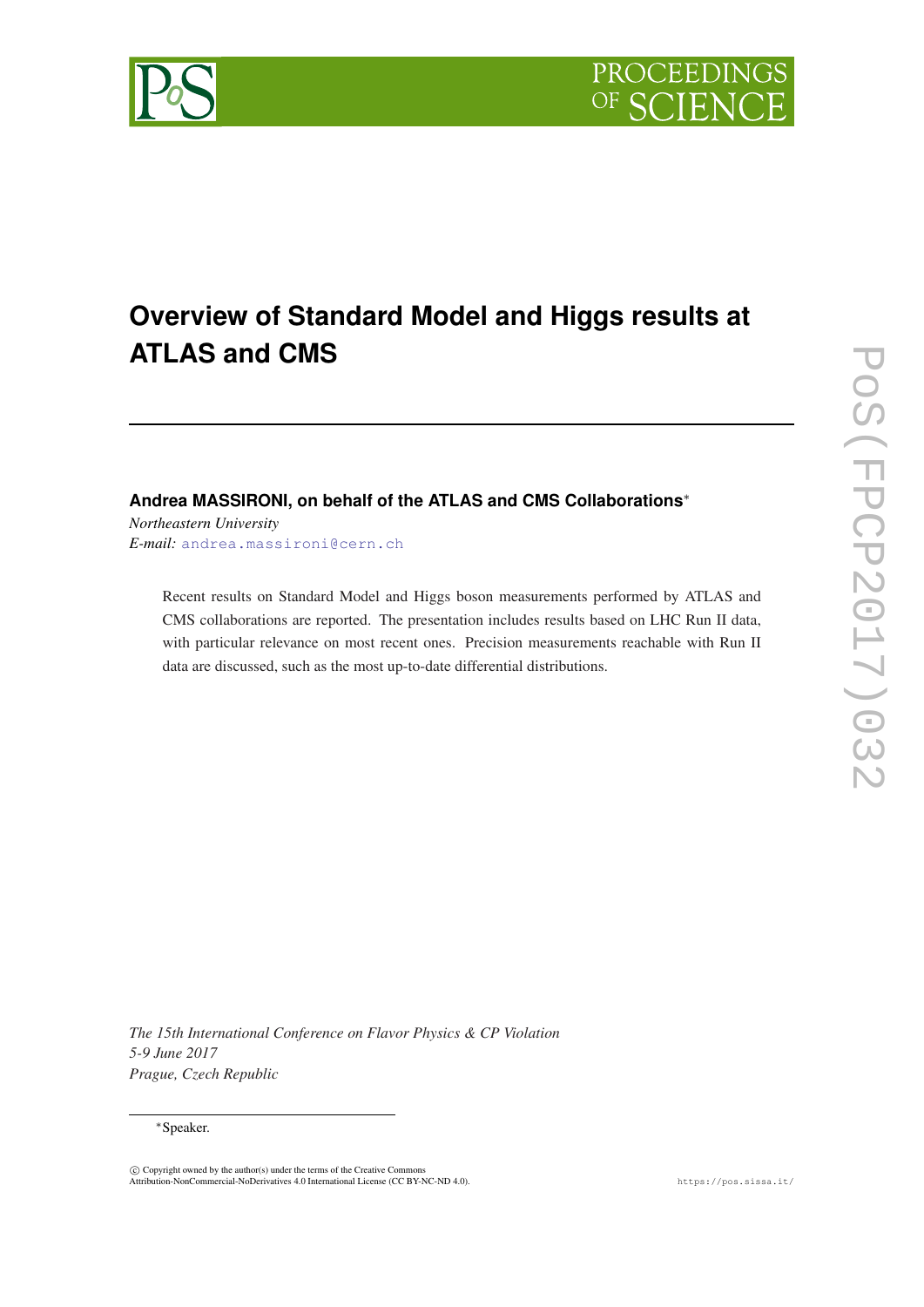

# **Overview of Standard Model and Higgs results at ATLAS and CMS**

# **Andrea MASSIRONI, on behalf of the ATLAS and CMS Collaborations**<sup>∗</sup>

*Northeastern University E-mail:* [andrea.massironi@cern.ch](mailto:andrea.massironi@cern.ch)

> Recent results on Standard Model and Higgs boson measurements performed by ATLAS and CMS collaborations are reported. The presentation includes results based on LHC Run II data, with particular relevance on most recent ones. Precision measurements reachable with Run II data are discussed, such as the most up-to-date differential distributions.

*The 15th International Conference on Flavor Physics & CP Violation 5-9 June 2017 Prague, Czech Republic*

#### <sup>∗</sup>Speaker.

c Copyright owned by the author(s) under the terms of the Creative Commons Attribution-NonCommercial-NoDerivatives 4.0 International License (CC BY-NC-ND 4.0). https://pos.sissa.it/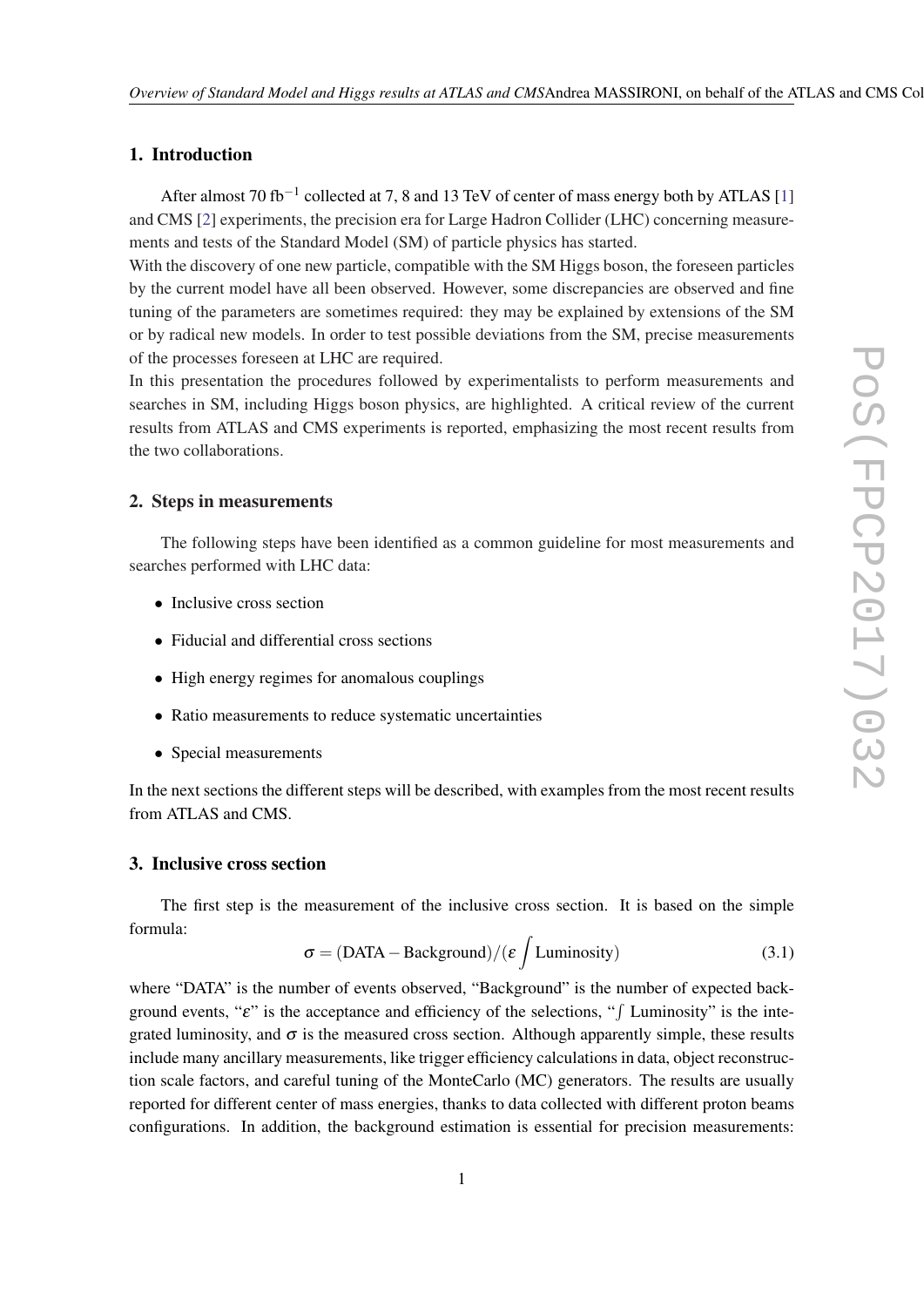# 1. Introduction

After almost 70 fb<sup>-[1](#page-5-0)</sup> collected at 7, 8 and 13 TeV of center of mass energy both by ATLAS [1] and CMS [\[2\]](#page-5-0) experiments, the precision era for Large Hadron Collider (LHC) concerning measurements and tests of the Standard Model (SM) of particle physics has started.

With the discovery of one new particle, compatible with the SM Higgs boson, the foreseen particles by the current model have all been observed. However, some discrepancies are observed and fine tuning of the parameters are sometimes required: they may be explained by extensions of the SM or by radical new models. In order to test possible deviations from the SM, precise measurements of the processes foreseen at LHC are required.

In this presentation the procedures followed by experimentalists to perform measurements and searches in SM, including Higgs boson physics, are highlighted. A critical review of the current results from ATLAS and CMS experiments is reported, emphasizing the most recent results from the two collaborations.

## 2. Steps in measurements

The following steps have been identified as a common guideline for most measurements and searches performed with LHC data:

- Inclusive cross section
- Fiducial and differential cross sections
- High energy regimes for anomalous couplings
- Ratio measurements to reduce systematic uncertainties
- Special measurements

In the next sections the different steps will be described, with examples from the most recent results from ATLAS and CMS.

#### 3. Inclusive cross section

The first step is the measurement of the inclusive cross section. It is based on the simple formula:

$$
\sigma = (DATA - Background) / (\varepsilon \int Luminosity)
$$
 (3.1)

where "DATA" is the number of events observed, "Background" is the number of expected background events, " $\varepsilon$ " is the acceptance and efficiency of the selections, " $\int$  Luminosity" is the integrated luminosity, and  $\sigma$  is the measured cross section. Although apparently simple, these results include many ancillary measurements, like trigger efficiency calculations in data, object reconstruction scale factors, and careful tuning of the MonteCarlo (MC) generators. The results are usually reported for different center of mass energies, thanks to data collected with different proton beams configurations. In addition, the background estimation is essential for precision measurements: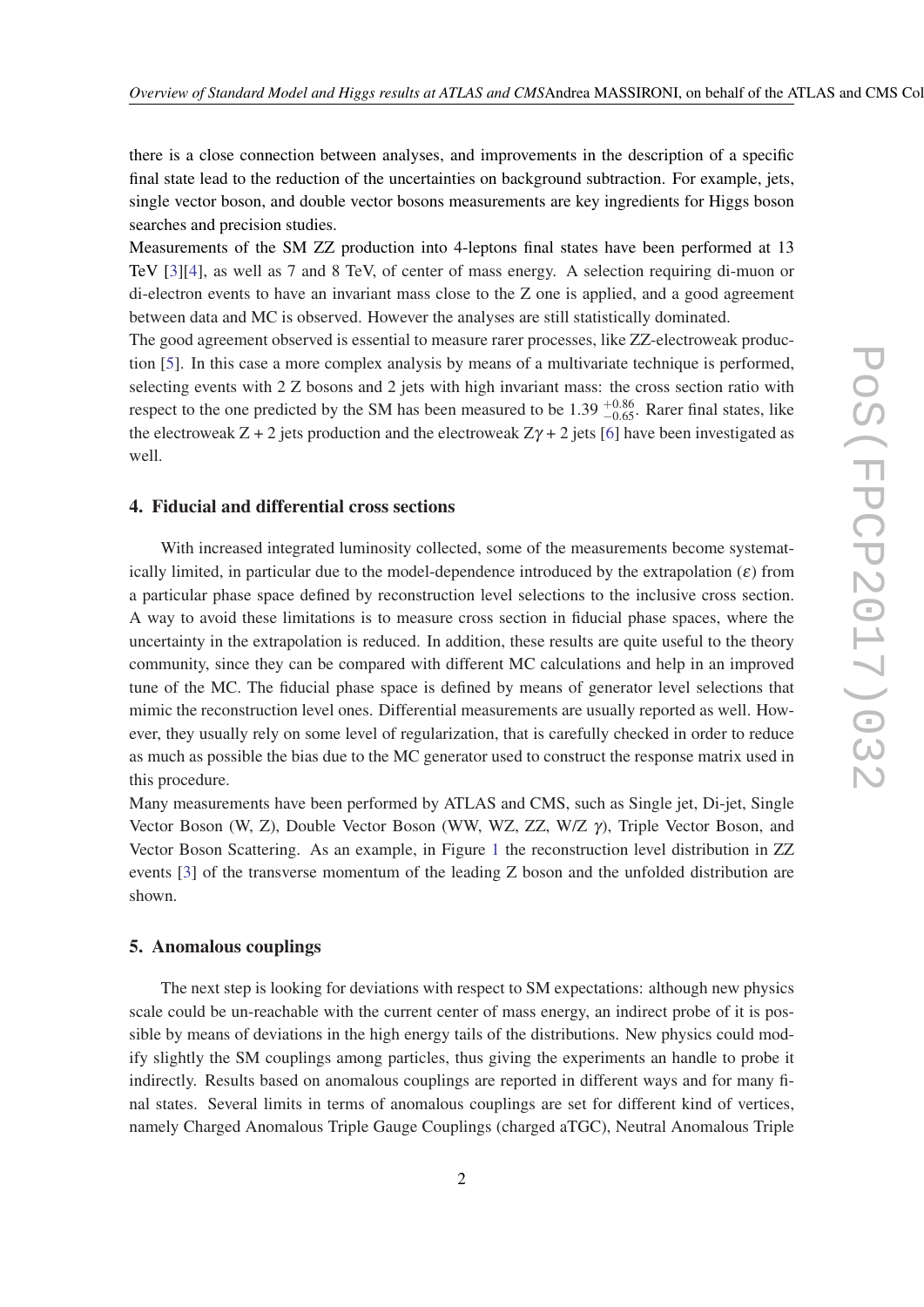there is a close connection between analyses, and improvements in the description of a specific final state lead to the reduction of the uncertainties on background subtraction. For example, jets, single vector boson, and double vector bosons measurements are key ingredients for Higgs boson searches and precision studies.

Measurements of the SM ZZ production into 4-leptons final states have been performed at 13 TeV [\[3\]](#page-5-0)[[4](#page-5-0)], as well as 7 and 8 TeV, of center of mass energy. A selection requiring di-muon or di-electron events to have an invariant mass close to the Z one is applied, and a good agreement between data and MC is observed. However the analyses are still statistically dominated.

The good agreement observed is essential to measure rarer processes, like ZZ-electroweak production [[5](#page-5-0)]. In this case a more complex analysis by means of a multivariate technique is performed, selecting events with 2 Z bosons and 2 jets with high invariant mass: the cross section ratio with respect to the one predicted by the SM has been measured to be 1.39  $^{+0.86}_{-0.65}$ . Rarer final states, like the electroweak  $Z + 2$  jets production and the electroweak  $Z\gamma + 2$  jets [\[6\]](#page-5-0) have been investigated as well.

# 4. Fiducial and differential cross sections

With increased integrated luminosity collected, some of the measurements become systematically limited, in particular due to the model-dependence introduced by the extrapolation  $(\varepsilon)$  from a particular phase space defined by reconstruction level selections to the inclusive cross section. A way to avoid these limitations is to measure cross section in fiducial phase spaces, where the uncertainty in the extrapolation is reduced. In addition, these results are quite useful to the theory community, since they can be compared with different MC calculations and help in an improved tune of the MC. The fiducial phase space is defined by means of generator level selections that mimic the reconstruction level ones. Differential measurements are usually reported as well. However, they usually rely on some level of regularization, that is carefully checked in order to reduce as much as possible the bias due to the MC generator used to construct the response matrix used in this procedure.

Many measurements have been performed by ATLAS and CMS, such as Single jet, Di-jet, Single Vector Boson (W, Z), Double Vector Boson (WW, WZ, ZZ, W/Z γ), Triple Vector Boson, and Vector Boson Scattering. As an example, in Figure [1](#page-3-0) the reconstruction level distribution in ZZ events [[3](#page-5-0)] of the transverse momentum of the leading Z boson and the unfolded distribution are shown.

#### 5. Anomalous couplings

The next step is looking for deviations with respect to SM expectations: although new physics scale could be un-reachable with the current center of mass energy, an indirect probe of it is possible by means of deviations in the high energy tails of the distributions. New physics could modify slightly the SM couplings among particles, thus giving the experiments an handle to probe it indirectly. Results based on anomalous couplings are reported in different ways and for many final states. Several limits in terms of anomalous couplings are set for different kind of vertices, namely Charged Anomalous Triple Gauge Couplings (charged aTGC), Neutral Anomalous Triple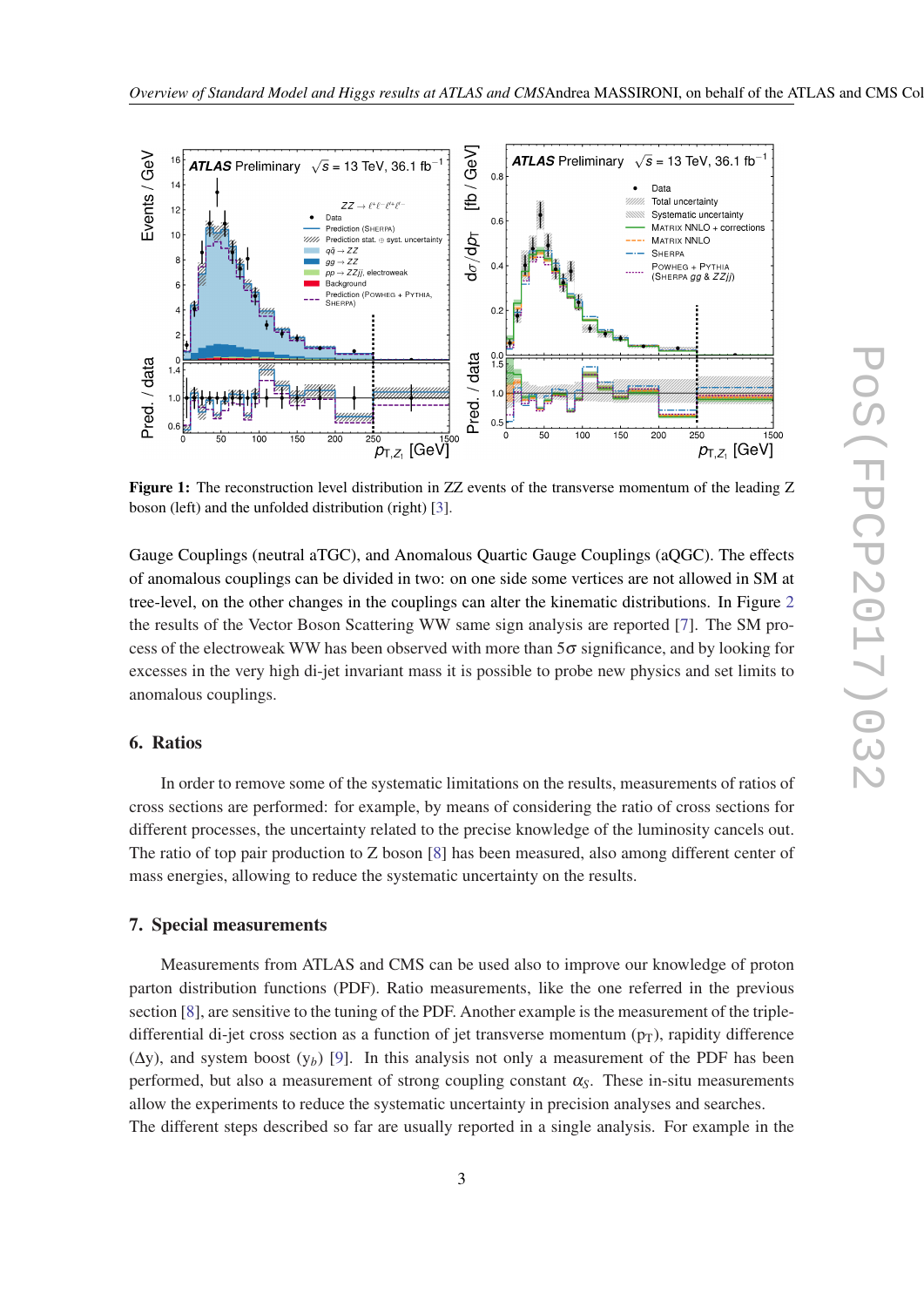<span id="page-3-0"></span>

Figure 1: The reconstruction level distribution in ZZ events of the transverse momentum of the leading Z boson (left) and the unfolded distribution (right) [[3\]](#page-5-0).

Gauge Couplings (neutral aTGC), and Anomalous Quartic Gauge Couplings (aQGC). The effects of anomalous couplings can be divided in two: on one side some vertices are not allowed in SM at tree-level, on the other changes in the couplings can alter the kinematic distributions. In Figure [2](#page-4-0) the results of the Vector Boson Scattering WW same sign analysis are reported [\[7\]](#page-5-0). The SM process of the electroweak WW has been observed with more than  $5\sigma$  significance, and by looking for excesses in the very high di-jet invariant mass it is possible to probe new physics and set limits to anomalous couplings.

# 6. Ratios

In order to remove some of the systematic limitations on the results, measurements of ratios of cross sections are performed: for example, by means of considering the ratio of cross sections for different processes, the uncertainty related to the precise knowledge of the luminosity cancels out. The ratio of top pair production to Z boson [\[8\]](#page-5-0) has been measured, also among different center of mass energies, allowing to reduce the systematic uncertainty on the results.

#### 7. Special measurements

Measurements from ATLAS and CMS can be used also to improve our knowledge of proton parton distribution functions (PDF). Ratio measurements, like the one referred in the previous section [\[8](#page-5-0)], are sensitive to the tuning of the PDF. Another example is the measurement of the tripledifferential di-jet cross section as a function of jet transverse momentum  $(p_T)$ , rapidity difference (∆y), and system boost (y*b*) [[9](#page-5-0)]. In this analysis not only a measurement of the PDF has been performed, but also a measurement of strong coupling constant  $\alpha_s$ . These in-situ measurements allow the experiments to reduce the systematic uncertainty in precision analyses and searches. The different steps described so far are usually reported in a single analysis. For example in the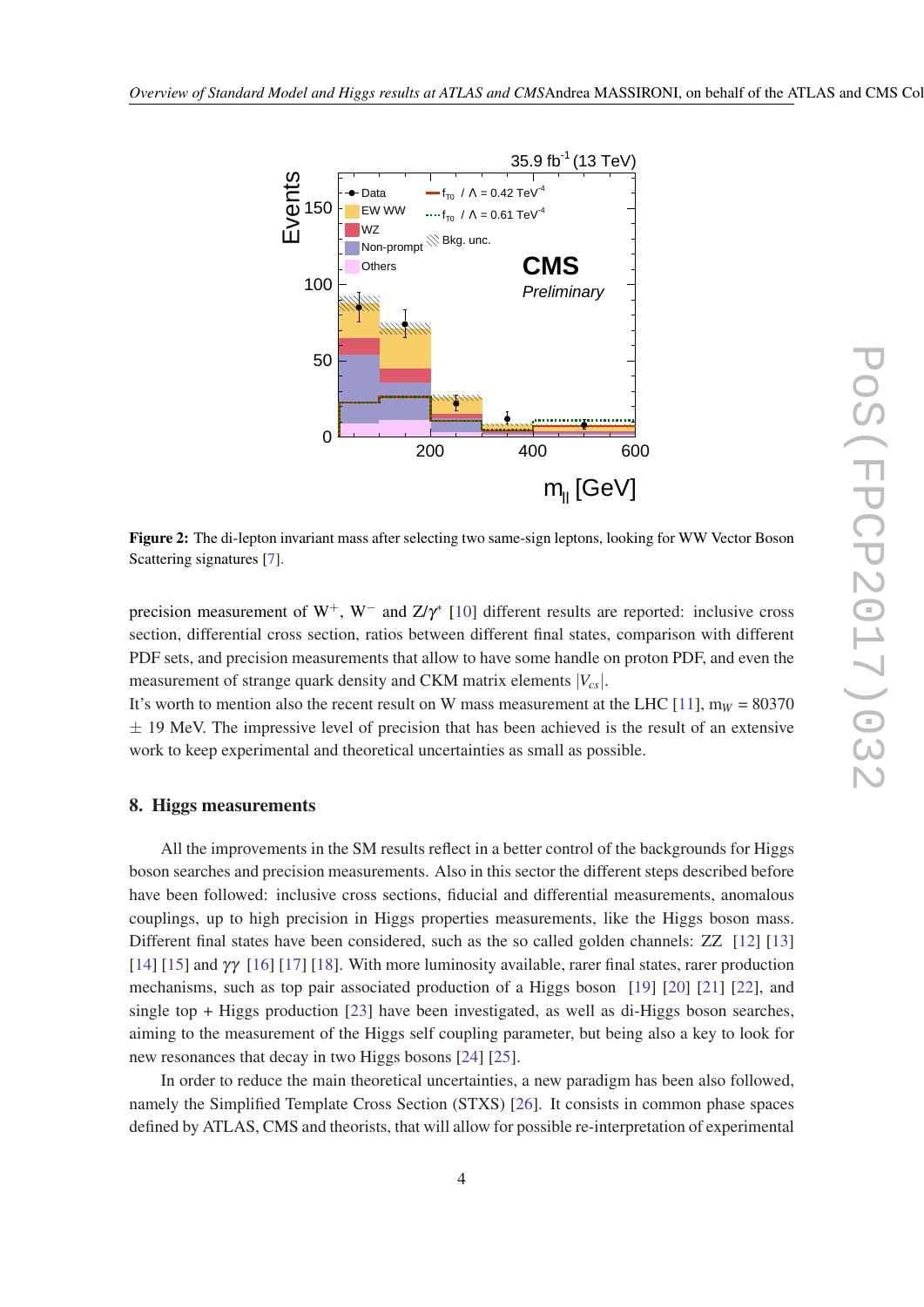<span id="page-4-0"></span>

Figure 2: The di-lepton invariant mass after selecting two same-sign leptons, looking for WW Vector Boson Scattering signatures [\[7](#page-5-0)].

precision measurement of W<sup>+</sup>, W<sup>-</sup> and Z/ $\gamma$ <sup>\*</sup> [\[10\]](#page-5-0) different results are reported: inclusive cross section, differential cross section, ratios between different final states, comparison with different PDF sets, and precision measurements that allow to have some handle on proton PDF, and even the measurement of strange quark density and CKM matrix elements |*Vcs*|.

It's worth to mention also the recent result on W mass measurement at the LHC  $[11]$  $[11]$ ,  $m_W = 80370$  $\pm$  19 MeV. The impressive level of precision that has been achieved is the result of an extensive work to keep experimental and theoretical uncertainties as small as possible.

#### 8. Higgs measurements

All the improvements in the SM results reflect in a better control of the backgrounds for Higgs boson searches and precision measurements. Also in this sector the different steps described before have been followed: inclusive cross sections, fiducial and differential measurements, anomalous couplings, up to high precision in Higgs properties measurements, like the Higgs boson mass. Different final states have been considered, such as the so called golden channels: ZZ [[12\]](#page-5-0) [\[13](#page-6-0)] [[14\]](#page-6-0) [[15\]](#page-6-0) and γγ [[16](#page-6-0)] [\[17](#page-6-0)] [\[18\]](#page-6-0). With more luminosity available, rarer final states, rarer production mechanisms, such as top pair associated production of a Higgs boson [[19\]](#page-6-0) [[20\]](#page-6-0) [[21\]](#page-6-0) [[22\]](#page-6-0), and single top + Higgs production [[23\]](#page-6-0) have been investigated, as well as di-Higgs boson searches, aiming to the measurement of the Higgs self coupling parameter, but being also a key to look for new resonances that decay in two Higgs bosons [\[24](#page-6-0)] [\[25](#page-6-0)].

In order to reduce the main theoretical uncertainties, a new paradigm has been also followed, namely the Simplified Template Cross Section (STXS) [\[26](#page-6-0)]. It consists in common phase spaces defined by ATLAS, CMS and theorists, that will allow for possible re-interpretation of experimental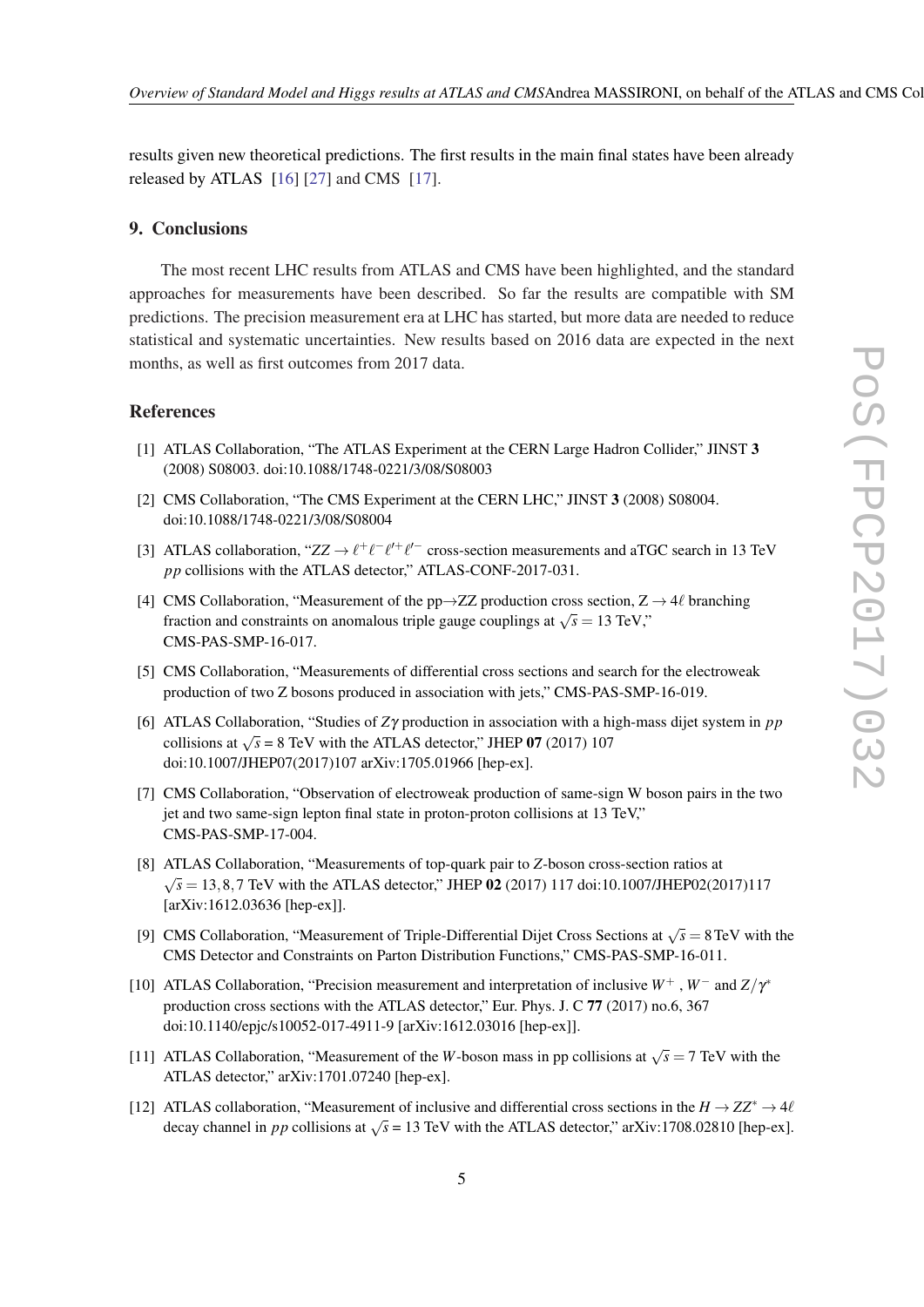<span id="page-5-0"></span>results given new theoretical predictions. The first results in the main final states have been already released by ATLAS [\[16](#page-6-0)] [\[27](#page-6-0)] and CMS [\[17](#page-6-0)].

### 9. Conclusions

The most recent LHC results from ATLAS and CMS have been highlighted, and the standard approaches for measurements have been described. So far the results are compatible with SM predictions. The precision measurement era at LHC has started, but more data are needed to reduce statistical and systematic uncertainties. New results based on 2016 data are expected in the next months, as well as first outcomes from 2017 data.

#### References

- [1] ATLAS Collaboration, "The ATLAS Experiment at the CERN Large Hadron Collider," JINST 3 (2008) S08003. doi:10.1088/1748-0221/3/08/S08003
- [2] CMS Collaboration, "The CMS Experiment at the CERN LHC," JINST 3 (2008) S08004. doi:10.1088/1748-0221/3/08/S08004
- [3] ATLAS collaboration, " $ZZ \rightarrow \ell^+ \ell^- \ell^{\prime +} \ell^{\prime -}$  cross-section measurements and aTGC search in 13 TeV *pp* collisions with the ATLAS detector," ATLAS-CONF-2017-031.
- [4] CMS Collaboration, "Measurement of the pp $\rightarrow$ ZZ production cross section, Z  $\rightarrow$  4 $\ell$  branching fraction and constraints on anomalous triple gauge couplings at  $\sqrt{s} = 13$  TeV," CMS-PAS-SMP-16-017.
- [5] CMS Collaboration, "Measurements of differential cross sections and search for the electroweak production of two Z bosons produced in association with jets," CMS-PAS-SMP-16-019.
- [6] ATLAS Collaboration, "Studies of *Z*γ production in association with a high-mass dijet system in *pp* collisions at  $\sqrt{s}$  = 8 TeV with the ATLAS detector," JHEP 07 (2017) 107 doi:10.1007/JHEP07(2017)107 arXiv:1705.01966 [hep-ex].
- [7] CMS Collaboration, "Observation of electroweak production of same-sign W boson pairs in the two jet and two same-sign lepton final state in proton-proton collisions at 13 TeV," CMS-PAS-SMP-17-004.
- [8] ATLAS Collaboration, "Measurements of top-quark pair to *Z*-boson cross-section ratios at √  $\sqrt{s}$  = 13, 8, 7 TeV with the ATLAS detector," JHEP 02 (2017) 117 doi:10.1007/JHEP02(2017)117 [arXiv:1612.03636 [hep-ex]].
- [9] CMS Collaboration, "Measurement of Triple-Differential Dijet Cross Sections at  $\sqrt{s} = 8 \,\text{TeV}$  with the CMS Detector and Constraints on Parton Distribution Functions," CMS-PAS-SMP-16-011.
- [10] ATLAS Collaboration, "Precision measurement and interpretation of inclusive *W*<sup>+</sup> , *W*<sup>−</sup> and *Z*/γ ∗ production cross sections with the ATLAS detector," Eur. Phys. J. C 77 (2017) no.6, 367 doi:10.1140/epjc/s10052-017-4911-9 [arXiv:1612.03016 [hep-ex]].
- [11] ATLAS Collaboration, "Measurement of the *W*-boson mass in pp collisions at  $\sqrt{s} = 7$  TeV with the ATLAS detector," arXiv:1701.07240 [hep-ex].
- [12] ATLAS collaboration, "Measurement of inclusive and differential cross sections in the  $H \to ZZ^* \to 4\ell$ decay channel in *pp* collisions at  $\sqrt{s}$  = 13 TeV with the ATLAS detector," arXiv:1708.02810 [hep-ex].